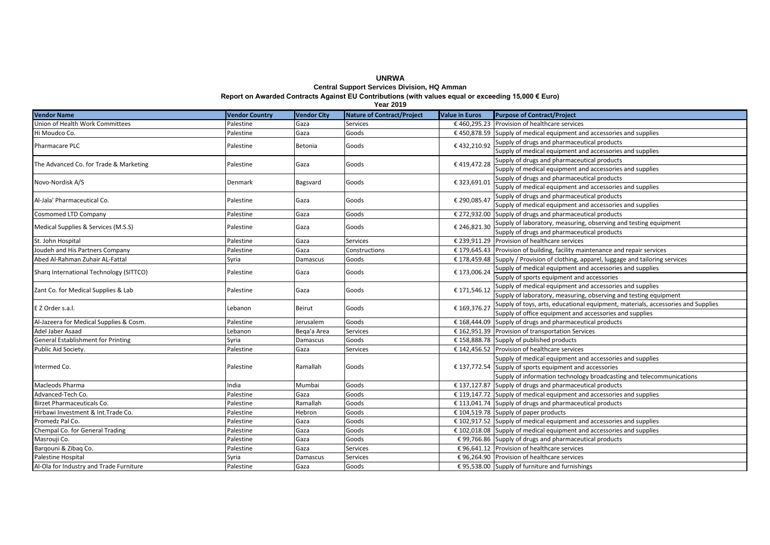### **Central Support Services Division, HQ Amman Report on Awarded Contracts Against EU Contributions (with values equal or exceeding 15,000 € Euro)**

**Vendor Name Vendor Country Vendor City Nature of Contract/Project Value in Euros Purpose of Contract/Project** Union of Health Work Committees Palestine Gaza Services € 460,295.23 Provision of healthcare services Hi Moudco Co. 
→ Palestine Gaza Goods 
→ Gaza Goods 
→ E 450.878.59 Supply of medical equipment and accessories and supplies Supply of drugs and pharmaceutical products Supply of medical equipment and accessories and supplies Supply of drugs and pharmaceutical products Supply of medical equipment and accessories and supplies Supply of drugs and pharmaceutical products Supply of medical equipment and accessories and supplies Supply of drugs and pharmaceutical products Supply of medical equipment and accessories and supplies Cosmomed LTD Company example and the cosmomed LTD Company Palestine Gaza Goods Cosmomed LTD Company example and pharmaceutical products  $\epsilon$  246.821.30 Supply of laboratory, measuring, observing and testing equipment iupply of drugs and pharmaceutical products St. John Hospital Palestine Palestine Gaza Services = 5.39,911.29 Provision of healthcare services Joudeh and His Partners Company Palestine Palestine Gaza Constructions € 179,645.43 Provision of building, facility maintenance and repair services Constructions E 179,645.43 Provision of building, facility maintenance an  $\Box$ Bamascus  $\Box$  Goods  $\Box$  E 178,459.48  $\Box$  Provision of clothing, apparel, luggage and tailoring services Supply of medical equipment and accessories and supplies Supply of sports equipment and accessories Supply of medical equipment and accessories and supplies Supply of laboratory, measuring, observing and testing equipment Supply of toys, arts, educational equipment, materials, accessories and Supplies Supply of office equipment and accessories and supplies Al-Jazeera for Medical Supplies & Cosm. Palestine Jerusalem Goods € 168,444.09 Supply of drugs and pharmaceutical products Adel Jaber Asaad **Lebanon** Lebanon Beqa'a Area Services € 162,951.39 Provision of transportation Services € 162,951.39 Provision of transportation Services **General Establishment for Printing Services** Supply of published  $S$ yria  $D$ amascus  $G$ oods  $\epsilon$  158,888.78 Supply of published products Public Aid Society. Palestine Gaza Services € 142,456.52 Provision of healthcare services Supply of medical equipment and accessories and supplies  $£ 137,772.54$  Supply of sports equipment and accessories Supply of information technology broadcasting and telecommunications Macleods Pharma India Mumbai Goods € 137,127.87 Supply of drugs and pharmaceutical products  $\Box$ Advanced-Tech Co.  $\Box$  Palestine  $\Box$  Gaza  $\Box$  Goods  $\Box$  E 119.147.72 Supply of medical equipment and accessories and supplies Birzet Pharmaceuticals Co. Palestine Ramallah Goods € 113,041.74 Supply of drugs and pharmaceutical products Hirbawi Investment & Int.Trade Co. 
Palestine Palestine Hebron Goods € 104,519.78 Supply of paper products Promedz Pal Co. **Example 2** Palestine Gaza Goods  $\epsilon$  102,917.52 Supply of medical equipment and accessories and supplies Chempal Co. for General Trading examples and supplies and supplies and supplies and supplies and supplies and supplies and supplies and supplies and supplies and supplies and supplies and supplies and supplies and supplie Masrouii Co. estable to the contract of the contract density of the contract of the contract of the Palestine contract density of drugs and pharmaceutical products Bargouni & Zibag Co. **Palestine** Gaza Services <del>Gaza</del> Services <del>€ 96,641.12</del> Provision of healthcare services Palestine Hospital Syria Damascus Services € 96,264.90 Provision of healthcare services Al-Ola for Industry and Trade Furniture Palestine Gaza Goods € 95,538.00 Supply of furniture and furnishings Intermed Co. Palestine Ramallah Goods € 137,772.54 E Z Order s.a.l. Lebanon Beirut Goods € 169,376.27 Al-Jala' Pharmaceutical Co. Palestine Gaza Goods Sharq International Technology (SITTCO) and Development of Palestine Gaza Goods Goods € 173,006.24 Medical Supplies & Services (M.S.S) Palestine Palestine Goods = 1 Goods = 246,821.300 Goods = 246,821.300 Goods Pharmacare PLC Palestine Betonia € 432,210.92 The Advanced Co. for Trade & Marketing Palestine Gaza Goods € 419,472.28 Novo-Nordisk A/S 
■ E323,691.01

■ E323,691.01

Denmark Bagsvard Goods
■ E323,691.01 € 290,085.47  $\frac{1}{2}$ Zant Co. for Medical Supplies & Lab  $\frac{1}{2}$  Palestine  $\frac{1}{2}$  Gaza  $\frac{1}{2}$  Goods  $\frac{1}{2}$   $\epsilon$  171.546.12

**Year 2019**

# **UNRWA**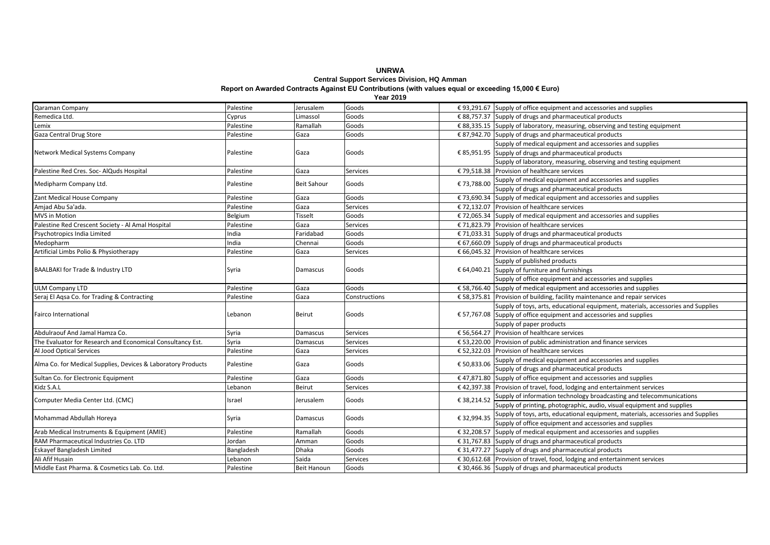# **UNRWA Central Support Services Division, HQ Amman**

**Report on Awarded Contracts Against EU Contributions (with values equal or exceeding 15,000 € Euro)**

**Year 2019**

| Qaraman Company                                              | Palestine  | Jerusalem          | Goods         |             | € 93,291.67 Supply of office equipment and accessories and supplies                      |
|--------------------------------------------------------------|------------|--------------------|---------------|-------------|------------------------------------------------------------------------------------------|
| Remedica Ltd.                                                | Cyprus     | Limassol           | Goods         |             | $\epsilon$ 88,757.37 Supply of drugs and pharmaceutical products                         |
| Lemix                                                        | Palestine  | Ramallah           | Goods         |             | € 88,335.15 Supply of laboratory, measuring, observing and testing equipment             |
| Gaza Central Drug Store                                      | Palestine  | Gaza               | Goods         |             | € 87,942.70 Supply of drugs and pharmaceutical products                                  |
|                                                              |            |                    |               |             | Supply of medical equipment and accessories and supplies                                 |
| Network Medical Systems Company                              | Palestine  | Gaza               | Goods         |             | $\epsilon$ 85,951.95 Supply of drugs and pharmaceutical products                         |
|                                                              |            |                    |               |             | Supply of laboratory, measuring, observing and testing equipment                         |
| Palestine Red Cres. Soc- AlQuds Hospital                     | Palestine  | Gaza               | Services      |             | € 79,518.38 Provision of healthcare services                                             |
| Medipharm Company Ltd.                                       | Palestine  | <b>Beit Sahour</b> | Goods         | €73,788.00  | Supply of medical equipment and accessories and supplies                                 |
|                                                              |            |                    |               |             | Supply of drugs and pharmaceutical products                                              |
| Zant Medical House Company                                   | Palestine  | Gaza               | Goods         |             | $\epsilon$ 73,690.34 Supply of medical equipment and accessories and supplies            |
| Amjad Abu Sa'ada.                                            | Palestine  | Gaza               | Services      |             | € 72,132.07 Provision of healthcare services                                             |
| <b>MVS</b> in Motion                                         | Belgium    | <b>Tisselt</b>     | Goods         |             | $\epsilon$ 72,065.34 Supply of medical equipment and accessories and supplies            |
| Palestine Red Crescent Society - Al Amal Hospital            | Palestine  | Gaza               | Services      |             | € 71,823.79 Provision of healthcare services                                             |
| Psychotropics India Limited                                  | ndia       | Faridabad          | Goods         |             | $\epsilon$ 71,033.31 Supply of drugs and pharmaceutical products                         |
| Medopharm                                                    | ndia       | Chennai            | Goods         |             | € 67,660.09 Supply of drugs and pharmaceutical products                                  |
| Artificial Limbs Polio & Physiotherapy                       | Palestine  | Gaza               | Services      |             | € 66,045.32 Provision of healthcare services                                             |
|                                                              |            |                    |               |             | Supply of published products                                                             |
| BAALBAKI for Trade & Industry LTD                            | Syria      | Damascus           | Goods         |             | $\epsilon$ 64,040.21 Supply of furniture and furnishings                                 |
|                                                              |            |                    |               |             | Supply of office equipment and accessories and supplies                                  |
| <b>ULM Company LTD</b>                                       | Palestine  | Gaza               | Goods         |             | $\epsilon$ 58,766.40 Supply of medical equipment and accessories and supplies            |
| Seraj El Agsa Co. for Trading & Contracting                  | Palestine  | Gaza               | Constructions |             | $\epsilon$ 58,375.81 Provision of building, facility maintenance and repair services     |
| <b>Fairco International</b>                                  | Lebanon    | Beirut             | Goods         |             | Supply of toys, arts, educational equipment, materials, accessories and Supplies         |
|                                                              |            |                    |               |             | $$57,767.08$ Supply of office equipment and accessories and supplies                     |
|                                                              |            |                    |               |             | Supply of paper products                                                                 |
| Abdulraouf And Jamal Hamza Co.                               | Syria      | Damascus           | Services      |             | € 56,564.27 Provision of healthcare services                                             |
| The Evaluator for Research and Economical Consultancy Est.   | Syria      | Damascus           | Services      |             | $\epsilon$ 53,220.00 Provision of public administration and finance services             |
| Al Jood Optical Services                                     | Palestine  | Gaza               | Services      |             | € 52,322.03 Provision of healthcare services                                             |
| Alma Co. for Medical Supplies, Devices & Laboratory Products | Palestine  | Gaza               | Goods         | € 50,833.06 | Supply of medical equipment and accessories and supplies                                 |
|                                                              |            |                    |               |             | Supply of drugs and pharmaceutical products                                              |
| Sultan Co. for Electronic Equipment                          | Palestine  | Gaza               | Goods         |             | $\epsilon$ 47,871.80 Supply of office equipment and accessories and supplies             |
| Kidz S.A.L                                                   | Lebanon    | Beirut             | Services      |             | $\epsilon$ 42,397.38 Provision of travel, food, lodging and entertainment services       |
| Computer Media Center Ltd. (CMC)                             | Israel     | Jerusalem          | Goods         | € 38,214.52 | Supply of information technology broadcasting and telecommunications                     |
|                                                              |            |                    |               |             | Supply of printing, photographic, audio, visual equipment and supplies                   |
| Mohammad Abdullah Horeya                                     | Syria      | Damascus           | Goods         | € 32.994.35 | Supply of toys, arts, educational equipment, materials, accessories and Supplies         |
|                                                              |            |                    |               |             | Supply of office equipment and accessories and supplies                                  |
| Arab Medical Instruments & Equipment (AMIE)                  | Palestine  | Ramallah           | Goods         |             | $\overline{\epsilon}$ 32,208.57 Supply of medical equipment and accessories and supplies |
| RAM Pharmaceutical Industries Co. LTD                        | Jordan     | Amman              | Goods         |             | € 31,767.83 Supply of drugs and pharmaceutical products                                  |
| <b>Eskayef Bangladesh Limited</b>                            | Bangladesh | Dhaka              | Goods         |             | € 31,477.27 Supply of drugs and pharmaceutical products                                  |
| Ali Afif Husain                                              | Lebanon    | Saida              | Services      |             | $\epsilon$ 30,612.68 Provision of travel, food, lodging and entertainment services       |
| Middle East Pharma. & Cosmetics Lab. Co. Ltd.                | Palestine  | <b>Beit Hanoun</b> | Goods         |             | $\epsilon$ 30,466.36 Supply of drugs and pharmaceutical products                         |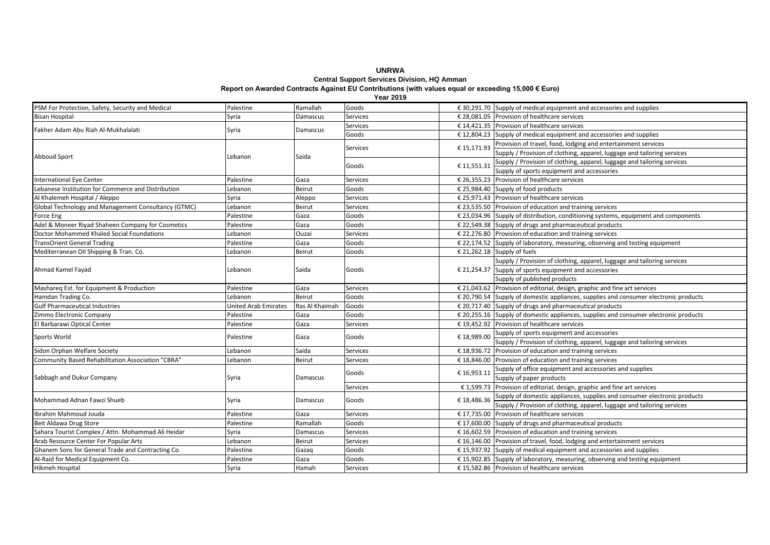### **UNRWA Central Support Services Division, HQ Amman**

#### **Report on Awarded Contracts Against EU Contributions (with values equal or exceeding 15,000 € Euro)**

**Year 2019**

| PSM For Protection, Safety, Security and Medical    | Palestine                   | Ramallah       | Goods           |             | $\epsilon$ 30,291.70 Supply of medical equipment and accessories and supplies                 |
|-----------------------------------------------------|-----------------------------|----------------|-----------------|-------------|-----------------------------------------------------------------------------------------------|
| <b>Bisan Hospital</b>                               | Syria                       | Damascus       | <b>Services</b> |             | € 28,081.05 Provision of healthcare services                                                  |
| Fakher Adam Abu Riah Al-Mukhalalati                 | Syria                       | Damascus       | <b>Services</b> |             | € 14,421.35 Provision of healthcare services                                                  |
|                                                     |                             |                | Goods           |             | $\epsilon$ 12,804.23 Supply of medical equipment and accessories and supplies                 |
|                                                     | Lebanon                     | Saida          | Services        | € 15,171.93 | Provision of travel, food, lodging and entertainment services                                 |
|                                                     |                             |                |                 |             | Supply / Provision of clothing, apparel, luggage and tailoring services                       |
| Abboud Sport                                        |                             |                | Goods           | € 11,551.31 | Supply / Provision of clothing, apparel, luggage and tailoring services                       |
|                                                     |                             |                |                 |             | Supply of sports equipment and accessories                                                    |
| <b>International Eye Center</b>                     | Palestine                   | Gaza           | Services        |             | € 26,355.23 Provision of healthcare services                                                  |
| Lebanese Institution for Commerce and Distribution  | Lebanon                     | Beirut         | Goods           |             | € 25,984.40 Supply of food products                                                           |
| Al Khalemeh Hospital / Aleppo                       | Syria                       | Aleppo         | <b>Services</b> |             | € 25,971.43 Provision of healthcare services                                                  |
| Global Technology and Management Consultancy (GTMC) | Lebanon                     | Beirut         | <b>Services</b> |             | $\epsilon$ 23,535.50 Provision of education and training services                             |
| Force Eng                                           | Palestine                   | Gaza           | Goods           |             | € 23,034.96 Supply of distribution, conditioning systems, equipment and components            |
| Adel & Moneer Riyad Shaheen Company for Cosmetics   | Palestine                   | Gaza           | Goods           |             | € 22,549.38 Supply of drugs and pharmaceutical products                                       |
| Doctor Mohammed Khaled Social Foundations           | Lebanon                     | Ouzai          | <b>Services</b> |             | $\epsilon$ 22,276.80 Provision of education and training services                             |
| <b>TransOrient General Trading</b>                  | Palestine                   | Gaza           | Goods           |             | € 22,174.52 Supply of laboratory, measuring, observing and testing equipment                  |
| Mediterranean Oil Shipping & Tran. Co.              | Lebanon                     | Beirut         | Goods           |             | € 21,262.18 Supply of fuels                                                                   |
|                                                     | Lebanon                     | Saida          | Goods           |             | Supply / Provision of clothing, apparel, luggage and tailoring services                       |
| Ahmad Kamel Fayad                                   |                             |                |                 |             | € 21,254.37 Supply of sports equipment and accessories                                        |
|                                                     |                             |                |                 |             | Supply of published products                                                                  |
| Mashareq Est. for Equipment & Production            | Palestine                   | Gaza           | <b>Services</b> |             | € 21,043.62 Provision of editorial, design, graphic and fine art services                     |
| Hamdan Trading Co.                                  | Lebanon                     | Beirut         | Goods           |             | € 20,790.54 Supply of domestic appliances, supplies and consumer electronic products          |
| <b>Gulf Pharmaceutical Industries</b>               | <b>United Arab Emirates</b> | Ras Al Khaimah | Goods           |             | $\epsilon$ 20,717.40 Supply of drugs and pharmaceutical products                              |
| Zimmo Electronic Company                            | Palestine                   | Gaza           | Goods           |             | $\epsilon$ 20,255.16 Supply of domestic appliances, supplies and consumer electronic products |
| El Barbarawi Optical Center                         | Palestine                   | Gaza           | Services        |             | € 19,452.92 Provision of healthcare services                                                  |
| Sports World                                        | Palestine                   | Gaza           | Goods           | €18,989.00  | Supply of sports equipment and accessories                                                    |
|                                                     |                             |                |                 |             | Supply / Provision of clothing, apparel, luggage and tailoring services                       |
| Sidon Orphan Welfare Society                        | Lebanon                     | Saida          | <b>Services</b> |             | € 18,936.72 Provision of education and training services                                      |
| Community Based Rehabilitation Association "CBRA"   | Lebanon                     | Beirut         | Services        |             | $£$ 18,846.00 Provision of education and training services                                    |
|                                                     |                             | Damascus       | Goods           | € 16,953.11 | Supply of office equipment and accessories and supplies                                       |
| Sabbagh and Dukur Company                           | Syria                       |                |                 |             | Supply of paper products                                                                      |
|                                                     |                             |                | <b>Services</b> |             | € 1,599.73 Provision of editorial, design, graphic and fine art services                      |
| Mohammad Adnan Fawzi Shueb                          | Syria                       | Damascus       | Goods           | €18,486.36  | Supply of domestic appliances, supplies and consumer electronic products                      |
|                                                     |                             |                |                 |             | Supply / Provision of clothing, apparel, luggage and tailoring services                       |
| Ibrahim Mahmoud Jouda                               | Palestine                   | Gaza           | Services        |             | € 17,735.00 Provision of healthcare services                                                  |
| Beit Aldawa Drug Store                              | Palestine                   | Ramallah       | Goods           |             | $\epsilon$ 17,600.00 Supply of drugs and pharmaceutical products                              |
| Sahara Tourist Complex / Attn. Mohammad Ali Heidar  | Syria                       | Damascus       | <b>Services</b> |             | $£ 16,602.59$ Provision of education and training services                                    |
| Arab Resource Center For Popular Arts               | Lebanon                     | Beirut         | Services        |             | € 16,146.00 Provision of travel, food, lodging and entertainment services                     |
| Ghanem Sons for General Trade and Contracting Co.   | Palestine                   | Gazaq          | Goods           |             | $\epsilon$ 15,937.92 Supply of medical equipment and accessories and supplies                 |
| Al-Raid for Medical Equipment Co.                   | Palestine                   | Gaza           | Goods           |             | € 15,902.85 Supply of laboratory, measuring, observing and testing equipment                  |
| <b>Hikmeh Hospital</b>                              | Syria                       | Hamah          | <b>Services</b> |             | € 15,582.86 Provision of healthcare services                                                  |